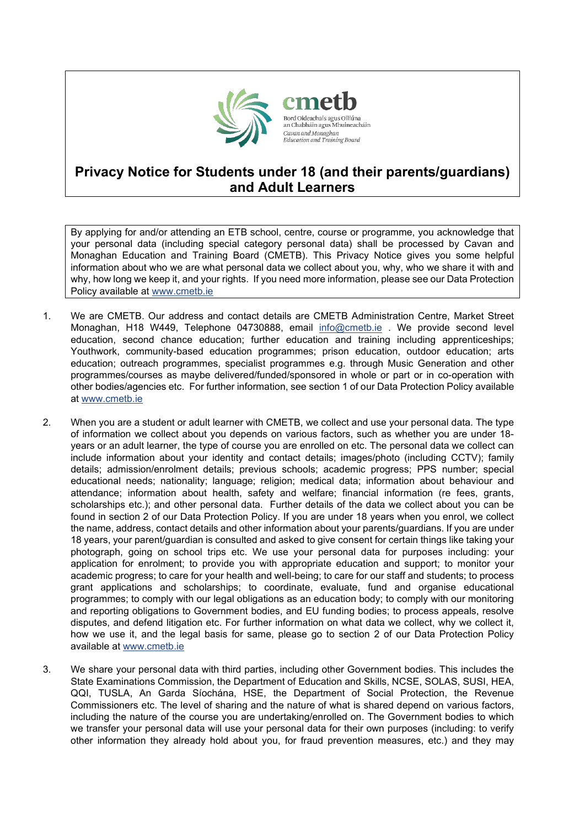

## **Privacy Notice for Students under 18 (and their parents/guardians) and Adult Learners**

By applying for and/or attending an ETB school, centre, course or programme, you acknowledge that your personal data (including special category personal data) shall be processed by Cavan and Monaghan Education and Training Board (CMETB). This Privacy Notice gives you some helpful information about who we are what personal data we collect about you, why, who we share it with and why, how long we keep it, and your rights. If you need more information, please see our Data Protection Policy available at [www.cmetb.ie](http://www.cmetb.ie/)

- 1. We are CMETB. Our address and contact details are CMETB Administration Centre, Market Street Monaghan, H18 W449, Telephone 04730888, email [info@cmetb.ie](mailto:info@cmetb.ie) . We provide second level education, second chance education; further education and training including apprenticeships; Youthwork, community-based education programmes; prison education, outdoor education; arts education; outreach programmes, specialist programmes e.g. through Music Generation and other programmes/courses as maybe delivered/funded/sponsored in whole or part or in co-operation with other bodies/agencies etc. For further information, see section 1 of our Data Protection Policy available at [www.cmetb.ie](http://www.cmetb.ie/)
- 2. When you are a student or adult learner with CMETB, we collect and use your personal data. The type of information we collect about you depends on various factors, such as whether you are under 18 years or an adult learner, the type of course you are enrolled on etc. The personal data we collect can include information about your identity and contact details; images/photo (including CCTV); family details; admission/enrolment details; previous schools; academic progress; PPS number; special educational needs; nationality; language; religion; medical data; information about behaviour and attendance; information about health, safety and welfare; financial information (re fees, grants, scholarships etc.); and other personal data. Further details of the data we collect about you can be found in section 2 of our Data Protection Policy. If you are under 18 years when you enrol, we collect the name, address, contact details and other information about your parents/guardians. If you are under 18 years, your parent/guardian is consulted and asked to give consent for certain things like taking your photograph, going on school trips etc. We use your personal data for purposes including: your application for enrolment; to provide you with appropriate education and support; to monitor your academic progress; to care for your health and well-being; to care for our staff and students; to process grant applications and scholarships; to coordinate, evaluate, fund and organise educational programmes; to comply with our legal obligations as an education body; to comply with our monitoring and reporting obligations to Government bodies, and EU funding bodies; to process appeals, resolve disputes, and defend litigation etc. For further information on what data we collect, why we collect it, how we use it, and the legal basis for same, please go to section 2 of our Data Protection Policy available at [www.cmetb.ie](http://www.cmetb.ie/)
- 3. We share your personal data with third parties, including other Government bodies. This includes the State Examinations Commission, the Department of Education and Skills, NCSE, SOLAS, SUSI, HEA, QQI, TUSLA, An Garda Síochána, HSE, the Department of Social Protection, the Revenue Commissioners etc. The level of sharing and the nature of what is shared depend on various factors, including the nature of the course you are undertaking/enrolled on. The Government bodies to which we transfer your personal data will use your personal data for their own purposes (including: to verify other information they already hold about you, for fraud prevention measures, etc.) and they may